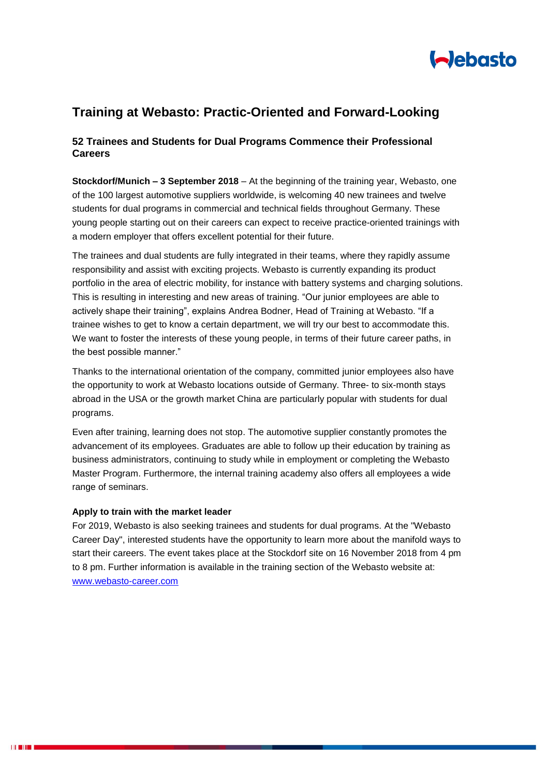

# **Training at Webasto: Practic-Oriented and Forward-Looking**

## **52 Trainees and Students for Dual Programs Commence their Professional Careers**

**Stockdorf/Munich – 3 September 2018** – At the beginning of the training year, Webasto, one of the 100 largest automotive suppliers worldwide, is welcoming 40 new trainees and twelve students for dual programs in commercial and technical fields throughout Germany. These young people starting out on their careers can expect to receive practice-oriented trainings with a modern employer that offers excellent potential for their future.

The trainees and dual students are fully integrated in their teams, where they rapidly assume responsibility and assist with exciting projects. Webasto is currently expanding its product portfolio in the area of electric mobility, for instance with battery systems and charging solutions. This is resulting in interesting and new areas of training. "Our junior employees are able to actively shape their training", explains Andrea Bodner, Head of Training at Webasto. "If a trainee wishes to get to know a certain department, we will try our best to accommodate this. We want to foster the interests of these young people, in terms of their future career paths, in the best possible manner."

Thanks to the international orientation of the company, committed junior employees also have the opportunity to work at Webasto locations outside of Germany. Three- to six-month stays abroad in the USA or the growth market China are particularly popular with students for dual programs.

Even after training, learning does not stop. The automotive supplier constantly promotes the advancement of its employees. Graduates are able to follow up their education by training as business administrators, continuing to study while in employment or completing the Webasto Master Program. Furthermore, the internal training academy also offers all employees a wide range of seminars.

#### **Apply to train with the market leader**

For 2019, Webasto is also seeking trainees and students for dual programs. At the "Webasto Career Day", interested students have the opportunity to learn more about the manifold ways to start their careers. The event takes place at the Stockdorf site on 16 November 2018 from 4 pm to 8 pm. Further information is available in the training section of the Webasto website at: [www.webasto-career.com](http://www.webasto-career.com/)